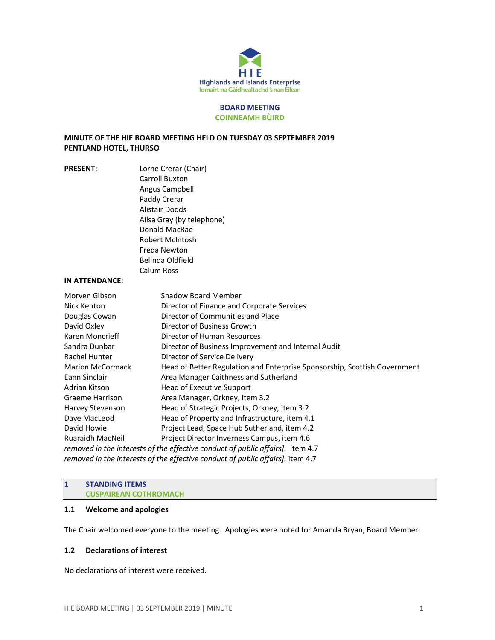

#### BOARD MEETING COINNEAMH BÙIRD

## MINUTE OF THE HIE BOARD MEETING HELD ON TUESDAY 03 SEPTEMBER 2019 PENTLAND HOTEL, THURSO

| <b>PRESENT:</b>         | Lorne Crerar (Chair)                                                                                                                                                           |                              |                                                     |
|-------------------------|--------------------------------------------------------------------------------------------------------------------------------------------------------------------------------|------------------------------|-----------------------------------------------------|
|                         | Carroll Buxton<br>Angus Campbell<br>Paddy Crerar<br>Alistair Dodds<br>Ailsa Gray (by telephone)<br>Donald MacRae<br><b>Robert McIntosh</b><br>Freda Newton<br>Belinda Oldfield |                              |                                                     |
|                         |                                                                                                                                                                                | Calum Ross                   |                                                     |
|                         |                                                                                                                                                                                | <b>IN ATTENDANCE:</b>        |                                                     |
|                         |                                                                                                                                                                                | Morven Gibson                | <b>Shadow Board Member</b>                          |
|                         |                                                                                                                                                                                | Nick Kenton                  | Director of Finance and Corporate Services          |
|                         |                                                                                                                                                                                | Douglas Cowan                | Director of Communities and Place                   |
|                         |                                                                                                                                                                                | David Oxley                  | Director of Business Growth                         |
|                         |                                                                                                                                                                                | Karen Moncrieff              | Director of Human Resources                         |
|                         |                                                                                                                                                                                | Sandra Dunbar                | Director of Business Improvement and Internal Audit |
|                         | Rachel Hunter                                                                                                                                                                  | Director of Service Delivery |                                                     |
| <b>Marion McCormack</b> | Head of Better Regulation and Enterprise Sponsorship, Scottish Government                                                                                                      |                              |                                                     |
| Eann Sinclair           | Area Manager Caithness and Sutherland                                                                                                                                          |                              |                                                     |
| Adrian Kitson           | <b>Head of Executive Support</b>                                                                                                                                               |                              |                                                     |
| <b>Graeme Harrison</b>  | Area Manager, Orkney, item 3.2                                                                                                                                                 |                              |                                                     |
| Harvey Stevenson        | Head of Strategic Projects, Orkney, item 3.2                                                                                                                                   |                              |                                                     |
| Dave MacLeod            | Head of Property and Infrastructure, item 4.1                                                                                                                                  |                              |                                                     |
| David Howie             | Project Lead, Space Hub Sutherland, item 4.2                                                                                                                                   |                              |                                                     |
| <b>Ruaraidh MacNeil</b> | Project Director Inverness Campus, item 4.6                                                                                                                                    |                              |                                                     |

removed in the interests of the effective conduct of public affairs]. item 4.7 removed in the interests of the effective conduct of public affairs]. item 4.7

## 1 STANDING ITEMS CUSPAIREAN COTHROMACH

### 1.1 Welcome and apologies

The Chair welcomed everyone to the meeting. Apologies were noted for Amanda Bryan, Board Member.

### 1.2 Declarations of interest

No declarations of interest were received.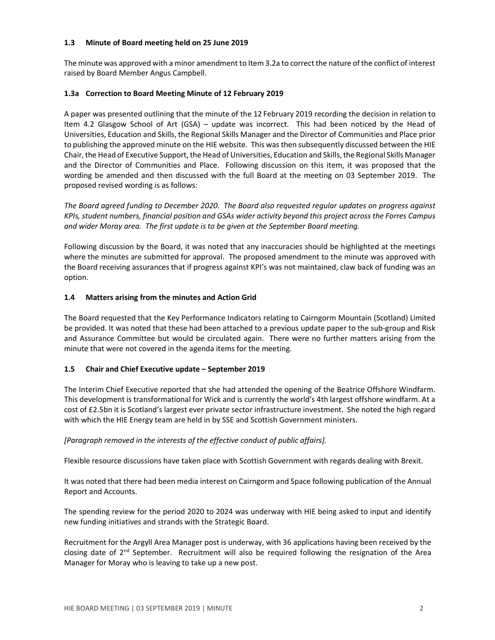### 1.3 Minute of Board meeting held on 25 June 2019

The minute was approved with a minor amendment to Item 3.2a to correct the nature of the conflict of interest raised by Board Member Angus Campbell.

# 1.3a Correction to Board Meeting Minute of 12 February 2019

A paper was presented outlining that the minute of the 12 February 2019 recording the decision in relation to Item 4.2 Glasgow School of Art (GSA) – update was incorrect. This had been noticed by the Head of Universities, Education and Skills, the Regional Skills Manager and the Director of Communities and Place prior to publishing the approved minute on the HIE website. This was then subsequently discussed between the HIE Chair, the Head of Executive Support, the Head of Universities, Education and Skills, the Regional Skills Manager and the Director of Communities and Place. Following discussion on this item, it was proposed that the wording be amended and then discussed with the full Board at the meeting on 03 September 2019. The proposed revised wording is as follows:

The Board agreed funding to December 2020. The Board also requested regular updates on progress against KPIs, student numbers, financial position and GSAs wider activity beyond this project across the Forres Campus and wider Moray area. The first update is to be given at the September Board meeting.

Following discussion by the Board, it was noted that any inaccuracies should be highlighted at the meetings where the minutes are submitted for approval. The proposed amendment to the minute was approved with the Board receiving assurances that if progress against KPI's was not maintained, claw back of funding was an option.

# 1.4 Matters arising from the minutes and Action Grid

The Board requested that the Key Performance Indicators relating to Cairngorm Mountain (Scotland) Limited be provided. It was noted that these had been attached to a previous update paper to the sub-group and Risk and Assurance Committee but would be circulated again. There were no further matters arising from the minute that were not covered in the agenda items for the meeting.

# 1.5 Chair and Chief Executive update – September 2019

The Interim Chief Executive reported that she had attended the opening of the Beatrice Offshore Windfarm. This development is transformational for Wick and is currently the world's 4th largest offshore windfarm. At a cost of £2.5bn it is Scotland's largest ever private sector infrastructure investment. She noted the high regard with which the HIE Energy team are held in by SSE and Scottish Government ministers.

# [Paragraph removed in the interests of the effective conduct of public affairs].

Flexible resource discussions have taken place with Scottish Government with regards dealing with Brexit.

It was noted that there had been media interest on Cairngorm and Space following publication of the Annual Report and Accounts.

The spending review for the period 2020 to 2024 was underway with HIE being asked to input and identify new funding initiatives and strands with the Strategic Board.

Recruitment for the Argyll Area Manager post is underway, with 36 applications having been received by the closing date of  $2<sup>nd</sup>$  September. Recruitment will also be required following the resignation of the Area Manager for Moray who is leaving to take up a new post.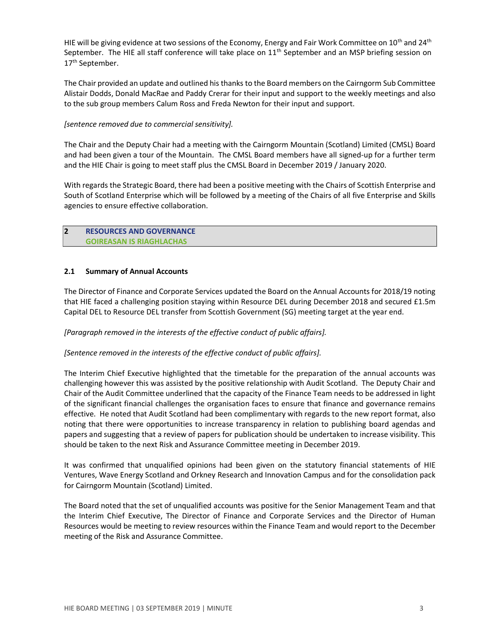HIE will be giving evidence at two sessions of the Economy, Energy and Fair Work Committee on 10<sup>th</sup> and 24<sup>th</sup> September. The HIE all staff conference will take place on 11<sup>th</sup> September and an MSP briefing session on 17<sup>th</sup> September.

The Chair provided an update and outlined his thanks to the Board members on the Cairngorm Sub Committee Alistair Dodds, Donald MacRae and Paddy Crerar for their input and support to the weekly meetings and also to the sub group members Calum Ross and Freda Newton for their input and support.

### [sentence removed due to commercial sensitivity].

The Chair and the Deputy Chair had a meeting with the Cairngorm Mountain (Scotland) Limited (CMSL) Board and had been given a tour of the Mountain. The CMSL Board members have all signed-up for a further term and the HIE Chair is going to meet staff plus the CMSL Board in December 2019 / January 2020.

With regards the Strategic Board, there had been a positive meeting with the Chairs of Scottish Enterprise and South of Scotland Enterprise which will be followed by a meeting of the Chairs of all five Enterprise and Skills agencies to ensure effective collaboration.

### 2 RESOURCES AND GOVERNANCE GOIREASAN IS RIAGHLACHAS

## 2.1 Summary of Annual Accounts

The Director of Finance and Corporate Services updated the Board on the Annual Accounts for 2018/19 noting that HIE faced a challenging position staying within Resource DEL during December 2018 and secured £1.5m Capital DEL to Resource DEL transfer from Scottish Government (SG) meeting target at the year end.

### [Paragraph removed in the interests of the effective conduct of public affairs].

### [Sentence removed in the interests of the effective conduct of public affairs].

The Interim Chief Executive highlighted that the timetable for the preparation of the annual accounts was challenging however this was assisted by the positive relationship with Audit Scotland. The Deputy Chair and Chair of the Audit Committee underlined that the capacity of the Finance Team needs to be addressed in light of the significant financial challenges the organisation faces to ensure that finance and governance remains effective. He noted that Audit Scotland had been complimentary with regards to the new report format, also noting that there were opportunities to increase transparency in relation to publishing board agendas and papers and suggesting that a review of papers for publication should be undertaken to increase visibility. This should be taken to the next Risk and Assurance Committee meeting in December 2019.

It was confirmed that unqualified opinions had been given on the statutory financial statements of HIE Ventures, Wave Energy Scotland and Orkney Research and Innovation Campus and for the consolidation pack for Cairngorm Mountain (Scotland) Limited.

The Board noted that the set of unqualified accounts was positive for the Senior Management Team and that the Interim Chief Executive, The Director of Finance and Corporate Services and the Director of Human Resources would be meeting to review resources within the Finance Team and would report to the December meeting of the Risk and Assurance Committee.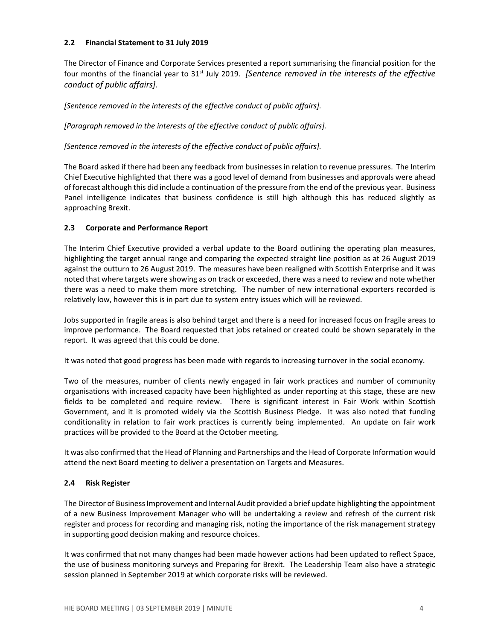### 2.2 Financial Statement to 31 July 2019

The Director of Finance and Corporate Services presented a report summarising the financial position for the four months of the financial year to 31<sup>st</sup> July 2019. *[Sentence removed in the interests of the effective* conduct of public affairs].

[Sentence removed in the interests of the effective conduct of public affairs].

[Paragraph removed in the interests of the effective conduct of public affairs].

[Sentence removed in the interests of the effective conduct of public affairs].

The Board asked if there had been any feedback from businesses in relation to revenue pressures. The Interim Chief Executive highlighted that there was a good level of demand from businesses and approvals were ahead of forecast although this did include a continuation of the pressure from the end of the previous year. Business Panel intelligence indicates that business confidence is still high although this has reduced slightly as approaching Brexit.

# 2.3 Corporate and Performance Report

The Interim Chief Executive provided a verbal update to the Board outlining the operating plan measures, highlighting the target annual range and comparing the expected straight line position as at 26 August 2019 against the outturn to 26 August 2019. The measures have been realigned with Scottish Enterprise and it was noted that where targets were showing as on track or exceeded, there was a need to review and note whether there was a need to make them more stretching. The number of new international exporters recorded is relatively low, however this is in part due to system entry issues which will be reviewed.

Jobs supported in fragile areas is also behind target and there is a need for increased focus on fragile areas to improve performance. The Board requested that jobs retained or created could be shown separately in the report. It was agreed that this could be done.

It was noted that good progress has been made with regards to increasing turnover in the social economy.

Two of the measures, number of clients newly engaged in fair work practices and number of community organisations with increased capacity have been highlighted as under reporting at this stage, these are new fields to be completed and require review. There is significant interest in Fair Work within Scottish Government, and it is promoted widely via the Scottish Business Pledge. It was also noted that funding conditionality in relation to fair work practices is currently being implemented. An update on fair work practices will be provided to the Board at the October meeting.

It was also confirmed that the Head of Planning and Partnerships and the Head of Corporate Information would attend the next Board meeting to deliver a presentation on Targets and Measures.

# 2.4 Risk Register

The Director of Business Improvement and Internal Audit provided a brief update highlighting the appointment of a new Business Improvement Manager who will be undertaking a review and refresh of the current risk register and process for recording and managing risk, noting the importance of the risk management strategy in supporting good decision making and resource choices.

It was confirmed that not many changes had been made however actions had been updated to reflect Space, the use of business monitoring surveys and Preparing for Brexit. The Leadership Team also have a strategic session planned in September 2019 at which corporate risks will be reviewed.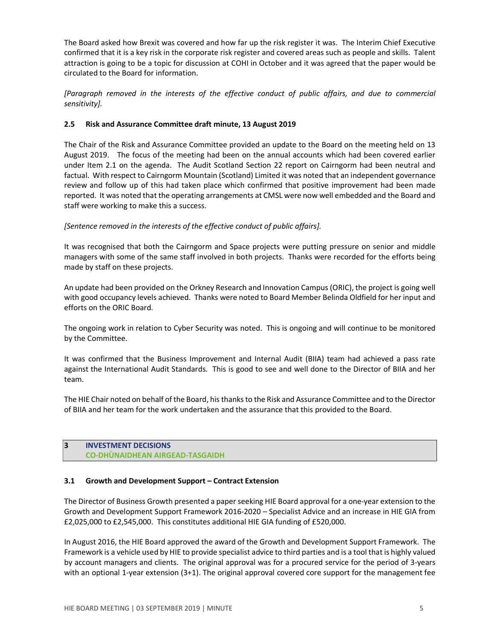The Board asked how Brexit was covered and how far up the risk register it was. The Interim Chief Executive confirmed that it is a key risk in the corporate risk register and covered areas such as people and skills. Talent attraction is going to be a topic for discussion at COHI in October and it was agreed that the paper would be circulated to the Board for information.

[Paragraph removed in the interests of the effective conduct of public affairs, and due to commercial sensitivity].

### 2.5 Risk and Assurance Committee draft minute, 13 August 2019

The Chair of the Risk and Assurance Committee provided an update to the Board on the meeting held on 13 August 2019. The focus of the meeting had been on the annual accounts which had been covered earlier under Item 2.1 on the agenda. The Audit Scotland Section 22 report on Cairngorm had been neutral and factual. With respect to Cairngorm Mountain (Scotland) Limited it was noted that an independent governance review and follow up of this had taken place which confirmed that positive improvement had been made reported. It was noted that the operating arrangements at CMSL were now well embedded and the Board and staff were working to make this a success.

## [Sentence removed in the interests of the effective conduct of public affairs].

It was recognised that both the Cairngorm and Space projects were putting pressure on senior and middle managers with some of the same staff involved in both projects. Thanks were recorded for the efforts being made by staff on these projects.

An update had been provided on the Orkney Research and Innovation Campus (ORIC), the project is going well with good occupancy levels achieved. Thanks were noted to Board Member Belinda Oldfield for her input and efforts on the ORIC Board.

The ongoing work in relation to Cyber Security was noted. This is ongoing and will continue to be monitored by the Committee.

It was confirmed that the Business Improvement and Internal Audit (BIIA) team had achieved a pass rate against the International Audit Standards. This is good to see and well done to the Director of BIIA and her team.

The HIE Chair noted on behalf of the Board, his thanks to the Risk and Assurance Committee and to the Director of BIIA and her team for the work undertaken and the assurance that this provided to the Board.

## 3 INVESTMENT DECISIONS CO-DHÙNAIDHEAN AIRGEAD-TASGAIDH

### 3.1 Growth and Development Support – Contract Extension

The Director of Business Growth presented a paper seeking HIE Board approval for a one-year extension to the Growth and Development Support Framework 2016-2020 – Specialist Advice and an increase in HIE GIA from £2,025,000 to £2,545,000. This constitutes additional HIE GIA funding of £520,000.

In August 2016, the HIE Board approved the award of the Growth and Development Support Framework. The Framework is a vehicle used by HIE to provide specialist advice to third parties and is a tool that is highly valued by account managers and clients. The original approval was for a procured service for the period of 3-years with an optional 1-year extension (3+1). The original approval covered core support for the management fee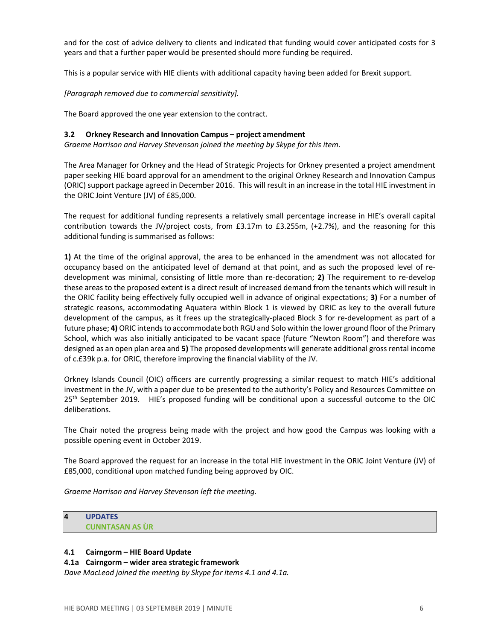and for the cost of advice delivery to clients and indicated that funding would cover anticipated costs for 3 years and that a further paper would be presented should more funding be required.

This is a popular service with HIE clients with additional capacity having been added for Brexit support.

[Paragraph removed due to commercial sensitivity].

The Board approved the one year extension to the contract.

#### 3.2 Orkney Research and Innovation Campus – project amendment

Graeme Harrison and Harvey Stevenson joined the meeting by Skype for this item.

The Area Manager for Orkney and the Head of Strategic Projects for Orkney presented a project amendment paper seeking HIE board approval for an amendment to the original Orkney Research and Innovation Campus (ORIC) support package agreed in December 2016. This will result in an increase in the total HIE investment in the ORIC Joint Venture (JV) of £85,000.

The request for additional funding represents a relatively small percentage increase in HIE's overall capital contribution towards the JV/project costs, from £3.17m to £3.255m, (+2.7%), and the reasoning for this additional funding is summarised as follows:

1) At the time of the original approval, the area to be enhanced in the amendment was not allocated for occupancy based on the anticipated level of demand at that point, and as such the proposed level of redevelopment was minimal, consisting of little more than re-decoration; 2) The requirement to re-develop these areas to the proposed extent is a direct result of increased demand from the tenants which will result in the ORIC facility being effectively fully occupied well in advance of original expectations; 3) For a number of strategic reasons, accommodating Aquatera within Block 1 is viewed by ORIC as key to the overall future development of the campus, as it frees up the strategically-placed Block 3 for re-development as part of a future phase; 4) ORIC intends to accommodate both RGU and Solo within the lower ground floor of the Primary School, which was also initially anticipated to be vacant space (future "Newton Room") and therefore was designed as an open plan area and 5) The proposed developments will generate additional gross rental income of c.£39k p.a. for ORIC, therefore improving the financial viability of the JV.

Orkney Islands Council (OIC) officers are currently progressing a similar request to match HIE's additional investment in the JV, with a paper due to be presented to the authority's Policy and Resources Committee on 25<sup>th</sup> September 2019. HIE's proposed funding will be conditional upon a successful outcome to the OIC deliberations.

The Chair noted the progress being made with the project and how good the Campus was looking with a possible opening event in October 2019.

The Board approved the request for an increase in the total HIE investment in the ORIC Joint Venture (JV) of £85,000, conditional upon matched funding being approved by OIC.

Graeme Harrison and Harvey Stevenson left the meeting.

# 4 UPDATES CUNNTASAN AS ÙR

### 4.1 Cairngorm – HIE Board Update

### 4.1a Cairngorm – wider area strategic framework

Dave MacLeod joined the meeting by Skype for items 4.1 and 4.1a.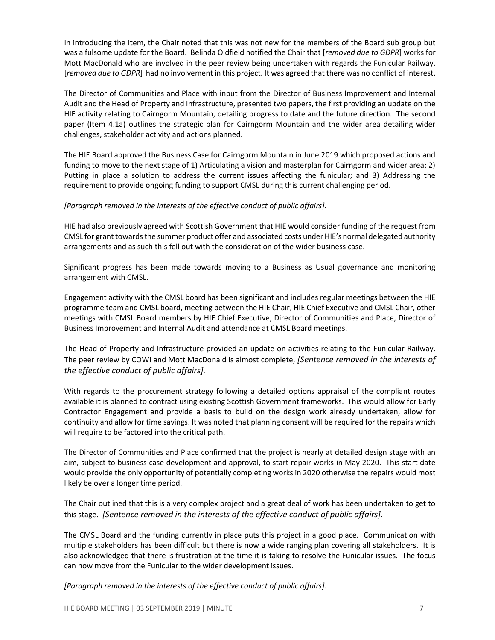In introducing the Item, the Chair noted that this was not new for the members of the Board sub group but was a fulsome update for the Board. Belinda Oldfield notified the Chair that [removed due to GDPR] works for Mott MacDonald who are involved in the peer review being undertaken with regards the Funicular Railway. [removed due to GDPR] had no involvement in this project. It was agreed that there was no conflict of interest.

The Director of Communities and Place with input from the Director of Business Improvement and Internal Audit and the Head of Property and Infrastructure, presented two papers, the first providing an update on the HIE activity relating to Cairngorm Mountain, detailing progress to date and the future direction. The second paper (Item 4.1a) outlines the strategic plan for Cairngorm Mountain and the wider area detailing wider challenges, stakeholder activity and actions planned.

The HIE Board approved the Business Case for Cairngorm Mountain in June 2019 which proposed actions and funding to move to the next stage of 1) Articulating a vision and masterplan for Cairngorm and wider area; 2) Putting in place a solution to address the current issues affecting the funicular; and 3) Addressing the requirement to provide ongoing funding to support CMSL during this current challenging period.

### [Paragraph removed in the interests of the effective conduct of public affairs].

HIE had also previously agreed with Scottish Government that HIE would consider funding of the request from CMSL for grant towards the summer product offer and associated costs under HIE's normal delegated authority arrangements and as such this fell out with the consideration of the wider business case.

Significant progress has been made towards moving to a Business as Usual governance and monitoring arrangement with CMSL.

Engagement activity with the CMSL board has been significant and includes regular meetings between the HIE programme team and CMSL board, meeting between the HIE Chair, HIE Chief Executive and CMSL Chair, other meetings with CMSL Board members by HIE Chief Executive, Director of Communities and Place, Director of Business Improvement and Internal Audit and attendance at CMSL Board meetings.

The Head of Property and Infrastructure provided an update on activities relating to the Funicular Railway. The peer review by COWI and Mott MacDonald is almost complete, [Sentence removed in the interests of the effective conduct of public affairs].

With regards to the procurement strategy following a detailed options appraisal of the compliant routes available it is planned to contract using existing Scottish Government frameworks. This would allow for Early Contractor Engagement and provide a basis to build on the design work already undertaken, allow for continuity and allow for time savings. It was noted that planning consent will be required for the repairs which will require to be factored into the critical path.

The Director of Communities and Place confirmed that the project is nearly at detailed design stage with an aim, subject to business case development and approval, to start repair works in May 2020. This start date would provide the only opportunity of potentially completing works in 2020 otherwise the repairs would most likely be over a longer time period.

The Chair outlined that this is a very complex project and a great deal of work has been undertaken to get to this stage. [Sentence removed in the interests of the effective conduct of public affairs].

The CMSL Board and the funding currently in place puts this project in a good place. Communication with multiple stakeholders has been difficult but there is now a wide ranging plan covering all stakeholders. It is also acknowledged that there is frustration at the time it is taking to resolve the Funicular issues. The focus can now move from the Funicular to the wider development issues.

[Paragraph removed in the interests of the effective conduct of public affairs].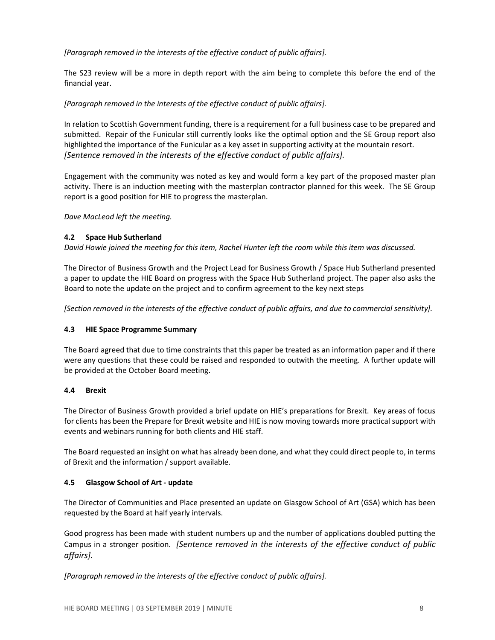[Paragraph removed in the interests of the effective conduct of public affairs].

The S23 review will be a more in depth report with the aim being to complete this before the end of the financial year.

## [Paragraph removed in the interests of the effective conduct of public affairs].

In relation to Scottish Government funding, there is a requirement for a full business case to be prepared and submitted. Repair of the Funicular still currently looks like the optimal option and the SE Group report also highlighted the importance of the Funicular as a key asset in supporting activity at the mountain resort. [Sentence removed in the interests of the effective conduct of public affairs].

Engagement with the community was noted as key and would form a key part of the proposed master plan activity. There is an induction meeting with the masterplan contractor planned for this week. The SE Group report is a good position for HIE to progress the masterplan.

Dave MacLeod left the meeting.

### 4.2 Space Hub Sutherland

David Howie joined the meeting for this item, Rachel Hunter left the room while this item was discussed.

The Director of Business Growth and the Project Lead for Business Growth / Space Hub Sutherland presented a paper to update the HIE Board on progress with the Space Hub Sutherland project. The paper also asks the Board to note the update on the project and to confirm agreement to the key next steps

[Section removed in the interests of the effective conduct of public affairs, and due to commercial sensitivity].

### 4.3 HIE Space Programme Summary

The Board agreed that due to time constraints that this paper be treated as an information paper and if there were any questions that these could be raised and responded to outwith the meeting. A further update will be provided at the October Board meeting.

### 4.4 Brexit

The Director of Business Growth provided a brief update on HIE's preparations for Brexit. Key areas of focus for clients has been the Prepare for Brexit website and HIE is now moving towards more practical support with events and webinars running for both clients and HIE staff.

The Board requested an insight on what has already been done, and what they could direct people to, in terms of Brexit and the information / support available.

### 4.5 Glasgow School of Art - update

The Director of Communities and Place presented an update on Glasgow School of Art (GSA) which has been requested by the Board at half yearly intervals.

Good progress has been made with student numbers up and the number of applications doubled putting the Campus in a stronger position. [Sentence removed in the interests of the effective conduct of public affairs].

[Paragraph removed in the interests of the effective conduct of public affairs].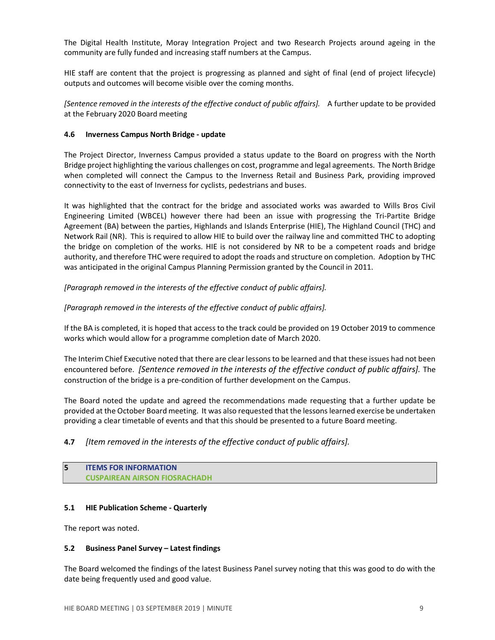The Digital Health Institute, Moray Integration Project and two Research Projects around ageing in the community are fully funded and increasing staff numbers at the Campus.

HIE staff are content that the project is progressing as planned and sight of final (end of project lifecycle) outputs and outcomes will become visible over the coming months.

[Sentence removed in the interests of the effective conduct of public affairs]. A further update to be provided at the February 2020 Board meeting

#### 4.6 Inverness Campus North Bridge - update

The Project Director, Inverness Campus provided a status update to the Board on progress with the North Bridge project highlighting the various challenges on cost, programme and legal agreements. The North Bridge when completed will connect the Campus to the Inverness Retail and Business Park, providing improved connectivity to the east of Inverness for cyclists, pedestrians and buses.

It was highlighted that the contract for the bridge and associated works was awarded to Wills Bros Civil Engineering Limited (WBCEL) however there had been an issue with progressing the Tri-Partite Bridge Agreement (BA) between the parties, Highlands and Islands Enterprise (HIE), The Highland Council (THC) and Network Rail (NR). This is required to allow HIE to build over the railway line and committed THC to adopting the bridge on completion of the works. HIE is not considered by NR to be a competent roads and bridge authority, and therefore THC were required to adopt the roads and structure on completion. Adoption by THC was anticipated in the original Campus Planning Permission granted by the Council in 2011.

[Paragraph removed in the interests of the effective conduct of public affairs].

[Paragraph removed in the interests of the effective conduct of public affairs].

If the BA is completed, it is hoped that access to the track could be provided on 19 October 2019 to commence works which would allow for a programme completion date of March 2020.

The Interim Chief Executive noted that there are clear lessons to be learned and that these issues had not been encountered before. [Sentence removed in the interests of the effective conduct of public affairs]. The construction of the bridge is a pre-condition of further development on the Campus.

The Board noted the update and agreed the recommendations made requesting that a further update be provided at the October Board meeting. It was also requested that the lessons learned exercise be undertaken providing a clear timetable of events and that this should be presented to a future Board meeting.

# 4.7 *[Item removed in the interests of the effective conduct of public affairs]*.

| <b>ITEMS FOR INFORMATION</b>         |
|--------------------------------------|
| <b>CUSPAIREAN AIRSON FIOSRACHADH</b> |

### 5.1 HIE Publication Scheme - Quarterly

The report was noted.

### 5.2 Business Panel Survey – Latest findings

The Board welcomed the findings of the latest Business Panel survey noting that this was good to do with the date being frequently used and good value.